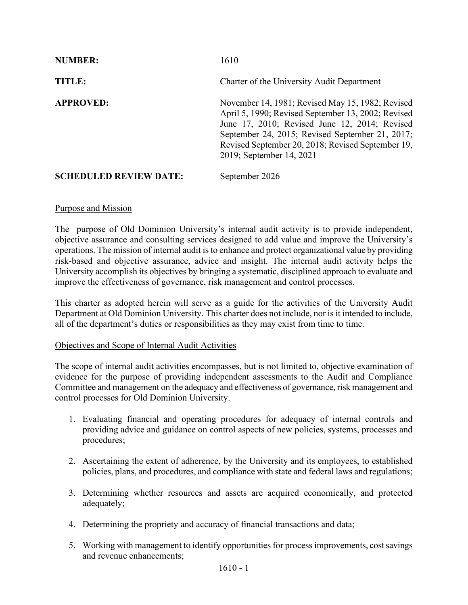| <b>NUMBER:</b>                | 1610                                                                                                                                                                                                                                                                                        |
|-------------------------------|---------------------------------------------------------------------------------------------------------------------------------------------------------------------------------------------------------------------------------------------------------------------------------------------|
| TITLE:                        | Charter of the University Audit Department                                                                                                                                                                                                                                                  |
| <b>APPROVED:</b>              | November 14, 1981; Revised May 15, 1982; Revised<br>April 5, 1990; Revised September 13, 2002; Revised<br>June 17, 2010; Revised June 12, 2014; Revised<br>September 24, 2015; Revised September 21, 2017;<br>Revised September 20, 2018; Revised September 19,<br>2019; September 14, 2021 |
| <b>SCHEDULED REVIEW DATE:</b> | September 2026                                                                                                                                                                                                                                                                              |

#### Purpose and Mission

The purpose of Old Dominion University's internal audit activity is to provide independent, objective assurance and consulting services designed to add value and improve the University's operations. The mission of internal audit is to enhance and protect organizational value by providing risk-based and objective assurance, advice and insight. The internal audit activity helps the University accomplish its objectives by bringing a systematic, disciplined approach to evaluate and improve the effectiveness of governance, risk management and control processes.

This charter as adopted herein will serve as a guide for the activities of the University Audit Department at Old Dominion University. This charter does not include, nor is it intended to include, all of the department's duties or responsibilities as they may exist from time to time.

#### Objectives and Scope of Internal Audit Activities

The scope of internal audit activities encompasses, but is not limited to, objective examination of evidence for the purpose of providing independent assessments to the Audit and Compliance Committee and management on the adequacy and effectiveness of governance, risk management and control processes for Old Dominion University.

- 1. Evaluating financial and operating procedures for adequacy of internal controls and providing advice and guidance on control aspects of new policies, systems, processes and procedures;
- 2. Ascertaining the extent of adherence, by the University and its employees, to established policies, plans, and procedures, and compliance with state and federal laws and regulations;
- 3. Determining whether resources and assets are acquired economically, and protected adequately;
- 4. Determining the propriety and accuracy of financial transactions and data;
- 5. Working with management to identify opportunities for process improvements, cost savings and revenue enhancements;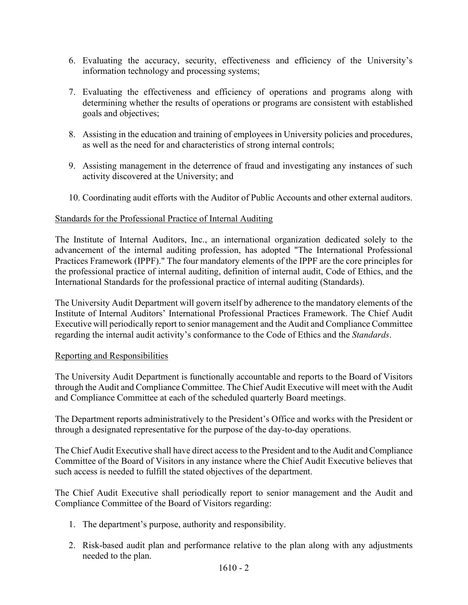- 6. Evaluating the accuracy, security, effectiveness and efficiency of the University's information technology and processing systems;
- 7. Evaluating the effectiveness and efficiency of operations and programs along with determining whether the results of operations or programs are consistent with established goals and objectives;
- 8. Assisting in the education and training of employees in University policies and procedures, as well as the need for and characteristics of strong internal controls;
- 9. Assisting management in the deterrence of fraud and investigating any instances of such activity discovered at the University; and
- 10. Coordinating audit efforts with the Auditor of Public Accounts and other external auditors.

## Standards for the Professional Practice of Internal Auditing

The Institute of Internal Auditors, Inc., an international organization dedicated solely to the advancement of the internal auditing profession, has adopted "The International Professional Practices Framework (IPPF)." The four mandatory elements of the IPPF are the core principles for the professional practice of internal auditing, definition of internal audit, Code of Ethics, and the International Standards for the professional practice of internal auditing (Standards).

The University Audit Department will govern itself by adherence to the mandatory elements of the Institute of Internal Auditors' International Professional Practices Framework. The Chief Audit Executive will periodically report to senior management and the Audit and Compliance Committee regarding the internal audit activity's conformance to the Code of Ethics and the *Standards*.

## Reporting and Responsibilities

The University Audit Department is functionally accountable and reports to the Board of Visitors through the Audit and Compliance Committee. The Chief Audit Executive will meet with the Audit and Compliance Committee at each of the scheduled quarterly Board meetings.

The Department reports administratively to the President's Office and works with the President or through a designated representative for the purpose of the day-to-day operations.

The Chief Audit Executive shall have direct access to the President and to the Audit and Compliance Committee of the Board of Visitors in any instance where the Chief Audit Executive believes that such access is needed to fulfill the stated objectives of the department.

The Chief Audit Executive shall periodically report to senior management and the Audit and Compliance Committee of the Board of Visitors regarding:

- 1. The department's purpose, authority and responsibility.
- 2. Risk-based audit plan and performance relative to the plan along with any adjustments needed to the plan.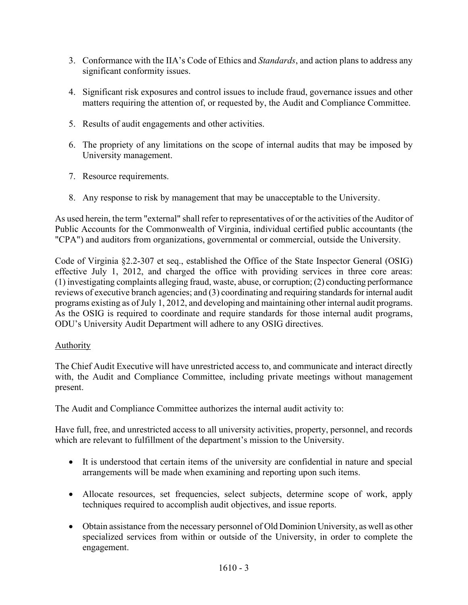- 3. Conformance with the IIA's Code of Ethics and *Standards*, and action plans to address any significant conformity issues.
- 4. Significant risk exposures and control issues to include fraud, governance issues and other matters requiring the attention of, or requested by, the Audit and Compliance Committee.
- 5. Results of audit engagements and other activities.
- 6. The propriety of any limitations on the scope of internal audits that may be imposed by University management.
- 7. Resource requirements.
- 8. Any response to risk by management that may be unacceptable to the University.

As used herein, the term "external" shall refer to representatives of or the activities of the Auditor of Public Accounts for the Commonwealth of Virginia, individual certified public accountants (the "CPA") and auditors from organizations, governmental or commercial, outside the University.

Code of Virginia §2.2-307 et seq., established the Office of the State Inspector General (OSIG) effective July 1, 2012, and charged the office with providing services in three core areas: (1) investigating complaints alleging fraud, waste, abuse, or corruption; (2) conducting performance reviews of executive branch agencies; and (3) coordinating and requiring standards for internal audit programs existing as of July 1, 2012, and developing and maintaining other internal audit programs. As the OSIG is required to coordinate and require standards for those internal audit programs, ODU's University Audit Department will adhere to any OSIG directives.

## Authority

The Chief Audit Executive will have unrestricted access to, and communicate and interact directly with, the Audit and Compliance Committee, including private meetings without management present.

The Audit and Compliance Committee authorizes the internal audit activity to:

Have full, free, and unrestricted access to all university activities, property, personnel, and records which are relevant to fulfillment of the department's mission to the University.

- It is understood that certain items of the university are confidential in nature and special arrangements will be made when examining and reporting upon such items.
- Allocate resources, set frequencies, select subjects, determine scope of work, apply techniques required to accomplish audit objectives, and issue reports.
- Obtain assistance from the necessary personnel of Old Dominion University, as well as other specialized services from within or outside of the University, in order to complete the engagement.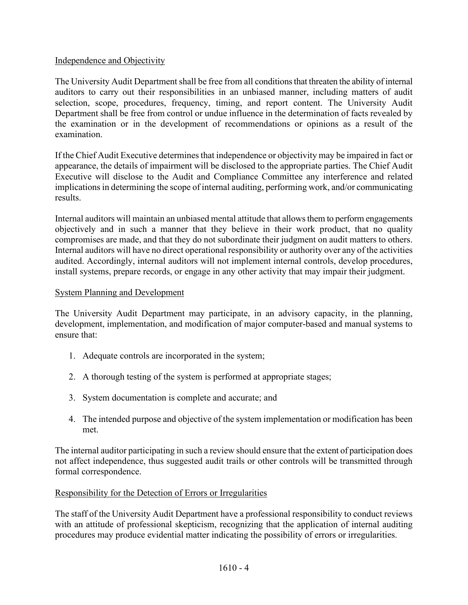## Independence and Objectivity

The University Audit Department shall be free from all conditions that threaten the ability of internal auditors to carry out their responsibilities in an unbiased manner, including matters of audit selection, scope, procedures, frequency, timing, and report content. The University Audit Department shall be free from control or undue influence in the determination of facts revealed by the examination or in the development of recommendations or opinions as a result of the examination.

If the Chief Audit Executive determines that independence or objectivity may be impaired in fact or appearance, the details of impairment will be disclosed to the appropriate parties. The Chief Audit Executive will disclose to the Audit and Compliance Committee any interference and related implications in determining the scope of internal auditing, performing work, and/or communicating results.

Internal auditors will maintain an unbiased mental attitude that allows them to perform engagements objectively and in such a manner that they believe in their work product, that no quality compromises are made, and that they do not subordinate their judgment on audit matters to others. Internal auditors will have no direct operational responsibility or authority over any of the activities audited. Accordingly, internal auditors will not implement internal controls, develop procedures, install systems, prepare records, or engage in any other activity that may impair their judgment.

#### System Planning and Development

The University Audit Department may participate, in an advisory capacity, in the planning, development, implementation, and modification of major computer-based and manual systems to ensure that:

- 1. Adequate controls are incorporated in the system;
- 2. A thorough testing of the system is performed at appropriate stages;
- 3. System documentation is complete and accurate; and
- 4. The intended purpose and objective of the system implementation or modification has been met.

The internal auditor participating in such a review should ensure that the extent of participation does not affect independence, thus suggested audit trails or other controls will be transmitted through formal correspondence.

## Responsibility for the Detection of Errors or Irregularities

The staff of the University Audit Department have a professional responsibility to conduct reviews with an attitude of professional skepticism, recognizing that the application of internal auditing procedures may produce evidential matter indicating the possibility of errors or irregularities.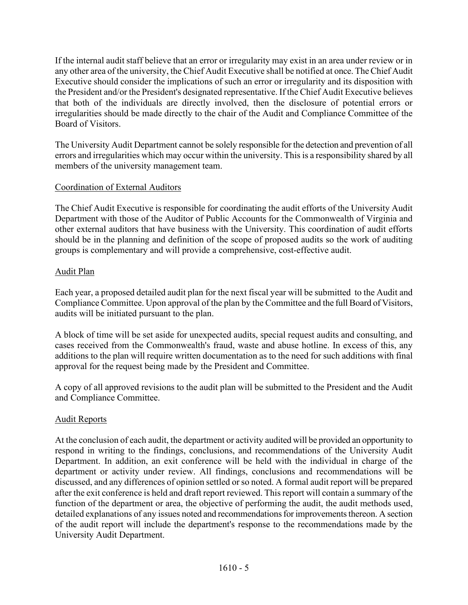If the internal audit staff believe that an error or irregularity may exist in an area under review or in any other area of the university, the Chief Audit Executive shall be notified at once. The Chief Audit Executive should consider the implications of such an error or irregularity and its disposition with the President and/or the President's designated representative. If the Chief Audit Executive believes that both of the individuals are directly involved, then the disclosure of potential errors or irregularities should be made directly to the chair of the Audit and Compliance Committee of the Board of Visitors.

The University Audit Department cannot be solely responsible for the detection and prevention of all errors and irregularities which may occur within the university. This is a responsibility shared by all members of the university management team.

## Coordination of External Auditors

The Chief Audit Executive is responsible for coordinating the audit efforts of the University Audit Department with those of the Auditor of Public Accounts for the Commonwealth of Virginia and other external auditors that have business with the University. This coordination of audit efforts should be in the planning and definition of the scope of proposed audits so the work of auditing groups is complementary and will provide a comprehensive, cost-effective audit.

## Audit Plan

Each year, a proposed detailed audit plan for the next fiscal year will be submitted to the Audit and Compliance Committee. Upon approval of the plan by the Committee and the full Board of Visitors, audits will be initiated pursuant to the plan.

A block of time will be set aside for unexpected audits, special request audits and consulting, and cases received from the Commonwealth's fraud, waste and abuse hotline. In excess of this, any additions to the plan will require written documentation as to the need for such additions with final approval for the request being made by the President and Committee.

A copy of all approved revisions to the audit plan will be submitted to the President and the Audit and Compliance Committee.

## Audit Reports

At the conclusion of each audit, the department or activity audited will be provided an opportunity to respond in writing to the findings, conclusions, and recommendations of the University Audit Department. In addition, an exit conference will be held with the individual in charge of the department or activity under review. All findings, conclusions and recommendations will be discussed, and any differences of opinion settled or so noted. A formal audit report will be prepared after the exit conference is held and draft report reviewed. This report will contain a summary of the function of the department or area, the objective of performing the audit, the audit methods used, detailed explanations of any issues noted and recommendations for improvements thereon. A section of the audit report will include the department's response to the recommendations made by the University Audit Department.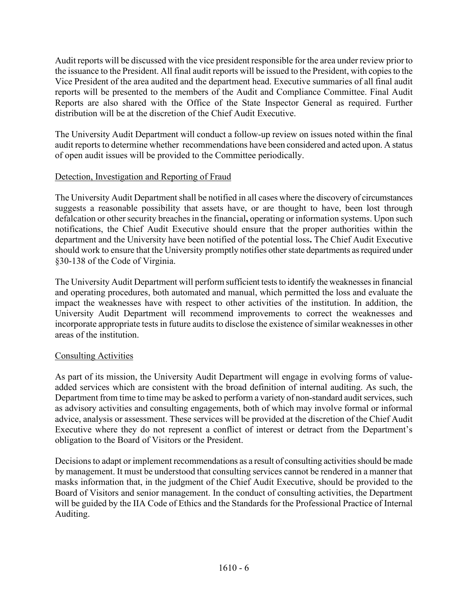Audit reports will be discussed with the vice president responsible for the area under review prior to the issuance to the President. All final audit reports will be issued to the President, with copies to the Vice President of the area audited and the department head. Executive summaries of all final audit reports will be presented to the members of the Audit and Compliance Committee. Final Audit Reports are also shared with the Office of the State Inspector General as required. Further distribution will be at the discretion of the Chief Audit Executive.

The University Audit Department will conduct a follow-up review on issues noted within the final audit reports to determine whether recommendations have been considered and acted upon. A status of open audit issues will be provided to the Committee periodically.

# Detection, Investigation and Reporting of Fraud

The University Audit Department shall be notified in all cases where the discovery of circumstances suggests a reasonable possibility that assets have, or are thought to have, been lost through defalcation or other security breaches in the financial**,** operating or information systems. Upon such notifications, the Chief Audit Executive should ensure that the proper authorities within the department and the University have been notified of the potential loss**.** The Chief Audit Executive should work to ensure that the University promptly notifies other state departments as required under §30-138 of the Code of Virginia.

The University Audit Department will perform sufficient tests to identify the weaknesses in financial and operating procedures, both automated and manual, which permitted the loss and evaluate the impact the weaknesses have with respect to other activities of the institution. In addition, the University Audit Department will recommend improvements to correct the weaknesses and incorporate appropriate tests in future audits to disclose the existence of similar weaknesses in other areas of the institution.

## Consulting Activities

As part of its mission, the University Audit Department will engage in evolving forms of valueadded services which are consistent with the broad definition of internal auditing. As such, the Department from time to time may be asked to perform a variety of non-standard audit services, such as advisory activities and consulting engagements, both of which may involve formal or informal advice, analysis or assessment. These services will be provided at the discretion of the Chief Audit Executive where they do not represent a conflict of interest or detract from the Department's obligation to the Board of Visitors or the President.

Decisions to adapt or implement recommendations as a result of consulting activities should be made by management. It must be understood that consulting services cannot be rendered in a manner that masks information that, in the judgment of the Chief Audit Executive, should be provided to the Board of Visitors and senior management. In the conduct of consulting activities, the Department will be guided by the IIA Code of Ethics and the Standards for the Professional Practice of Internal Auditing.